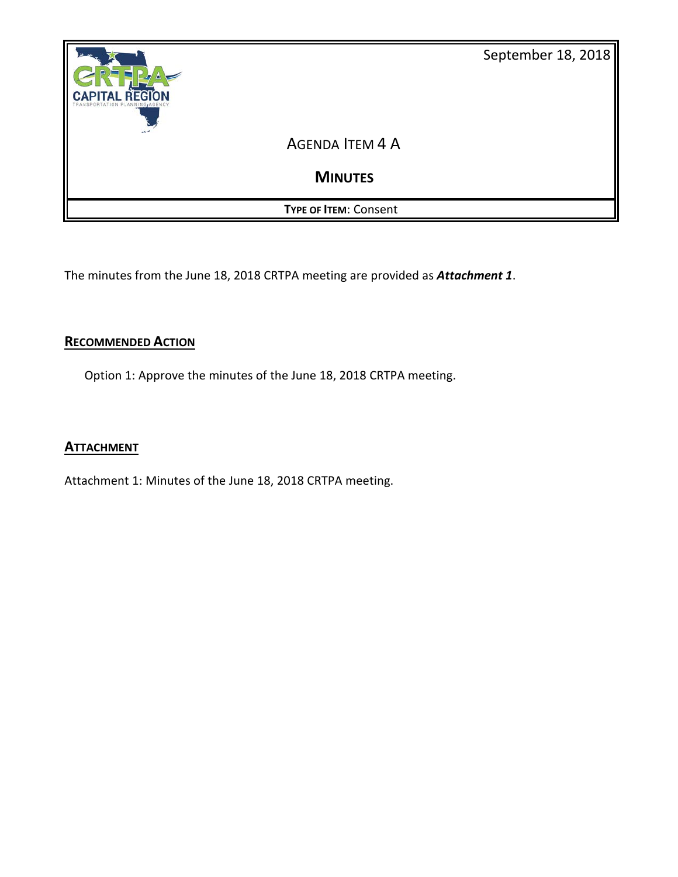

The minutes from the June 18, 2018 CRTPA meeting are provided as *Attachment 1*.

## **RECOMMENDED ACTION**

Option 1: Approve the minutes of the June 18, 2018 CRTPA meeting.

## **ATTACHMENT**

Attachment 1: Minutes of the June 18, 2018 CRTPA meeting.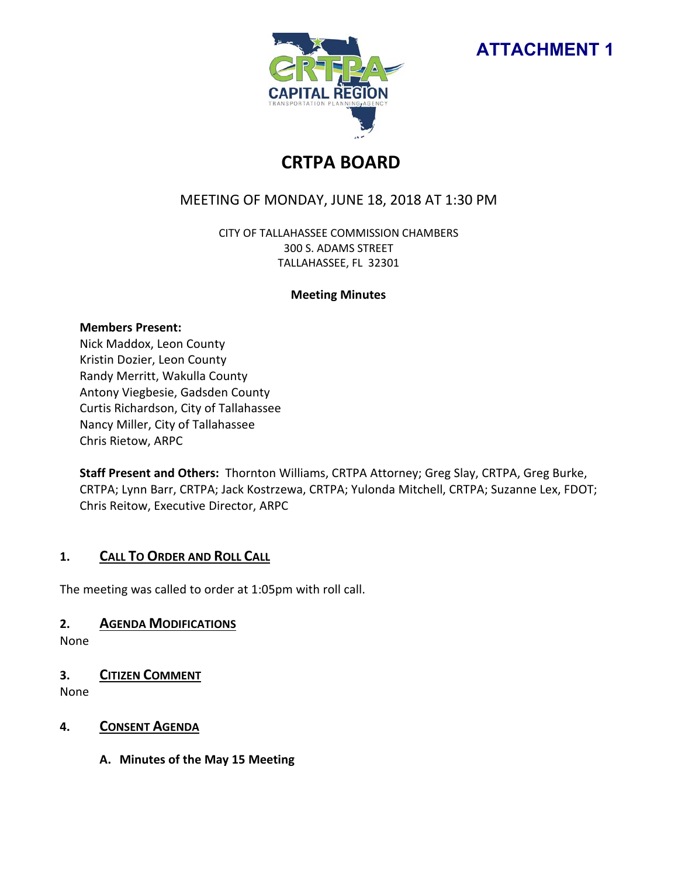



# **CRTPA BOARD**

## MEETING OF MONDAY, JUNE 18, 2018 AT 1:30 PM

CITY OF TALLAHASSEE COMMISSION CHAMBERS 300 S. ADAMS STREET TALLAHASSEE, FL 32301

#### **Meeting Minutes**

#### **Members Present:**

Nick Maddox, Leon County Kristin Dozier, Leon County Randy Merritt, Wakulla County Antony Viegbesie, Gadsden County Curtis Richardson, City of Tallahassee Nancy Miller, City of Tallahassee Chris Rietow, ARPC

**Staff Present and Others:** Thornton Williams, CRTPA Attorney; Greg Slay, CRTPA, Greg Burke, CRTPA; Lynn Barr, CRTPA; Jack Kostrzewa, CRTPA; Yulonda Mitchell, CRTPA; Suzanne Lex, FDOT; Chris Reitow, Executive Director, ARPC

## **1. CALL TO ORDER AND ROLL CALL**

The meeting was called to order at 1:05pm with roll call.

## **2. AGENDA MODIFICATIONS**

None

## **3. CITIZEN COMMENT**

None

## **4. CONSENT AGENDA**

**A. Minutes of the May 15 Meeting**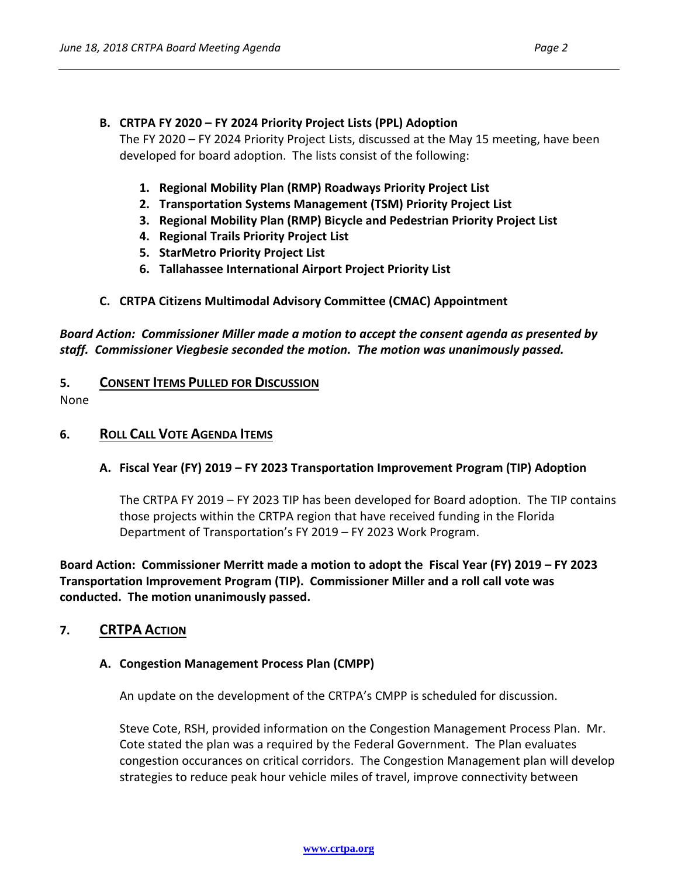#### **B. CRTPA FY 2020 – FY 2024 Priority Project Lists (PPL) Adoption**

The FY 2020 – FY 2024 Priority Project Lists, discussed at the May 15 meeting, have been developed for board adoption. The lists consist of the following:

- **1. Regional Mobility Plan (RMP) Roadways Priority Project List**
- **2. Transportation Systems Management (TSM) Priority Project List**
- **3. Regional Mobility Plan (RMP) Bicycle and Pedestrian Priority Project List**
- **4. Regional Trails Priority Project List**
- **5. StarMetro Priority Project List**
- **6. Tallahassee International Airport Project Priority List**

#### **C. CRTPA Citizens Multimodal Advisory Committee (CMAC) Appointment**

*Board Action: Commissioner Miller made a motion to accept the consent agenda as presented by staff. Commissioner Viegbesie seconded the motion. The motion was unanimously passed.* 

#### **5. CONSENT ITEMS PULLED FOR DISCUSSION**

None

#### **6. ROLL CALL VOTE AGENDA ITEMS**

#### **A. Fiscal Year (FY) 2019 – FY 2023 Transportation Improvement Program (TIP) Adoption**

The CRTPA FY 2019 – FY 2023 TIP has been developed for Board adoption. The TIP contains those projects within the CRTPA region that have received funding in the Florida Department of Transportation's FY 2019 – FY 2023 Work Program.

**Board Action: Commissioner Merritt made a motion to adopt the Fiscal Year (FY) 2019 – FY 2023 Transportation Improvement Program (TIP). Commissioner Miller and a roll call vote was conducted. The motion unanimously passed.** 

#### **7. CRTPA ACTION**

#### **A. Congestion Management Process Plan (CMPP)**

An update on the development of the CRTPA's CMPP is scheduled for discussion.

Steve Cote, RSH, provided information on the Congestion Management Process Plan. Mr. Cote stated the plan was a required by the Federal Government. The Plan evaluates congestion occurances on critical corridors. The Congestion Management plan will develop strategies to reduce peak hour vehicle miles of travel, improve connectivity between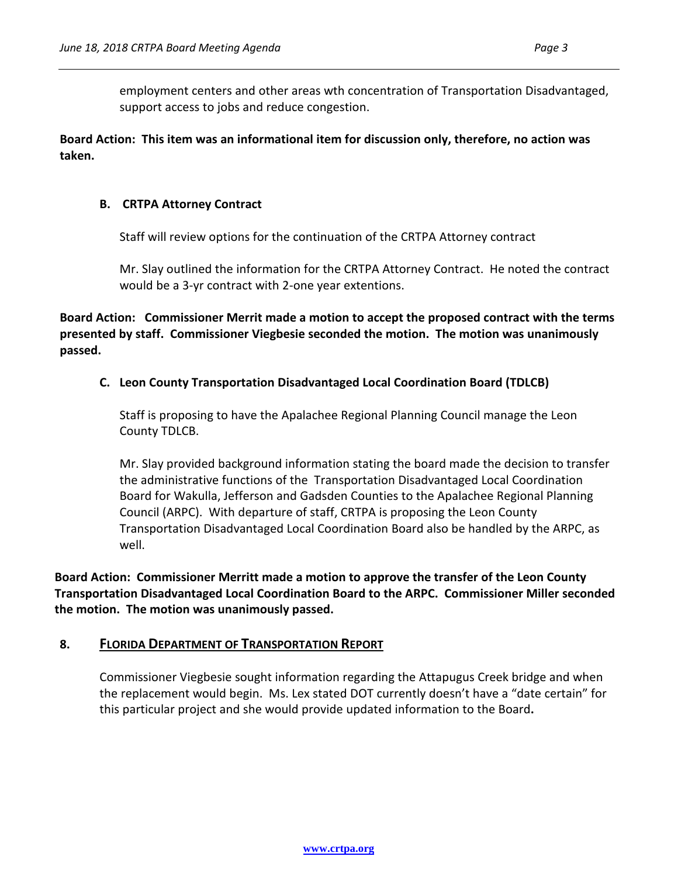employment centers and other areas wth concentration of Transportation Disadvantaged, support access to jobs and reduce congestion.

**Board Action: This item was an informational item for discussion only, therefore, no action was taken.** 

### **B. CRTPA Attorney Contract**

Staff will review options for the continuation of the CRTPA Attorney contract

Mr. Slay outlined the information for the CRTPA Attorney Contract. He noted the contract would be a 3-yr contract with 2-one year extentions.

**Board Action: Commissioner Merrit made a motion to accept the proposed contract with the terms presented by staff. Commissioner Viegbesie seconded the motion. The motion was unanimously passed.** 

## **C. Leon County Transportation Disadvantaged Local Coordination Board (TDLCB)**

Staff is proposing to have the Apalachee Regional Planning Council manage the Leon County TDLCB.

Mr. Slay provided background information stating the board made the decision to transfer the administrative functions of the Transportation Disadvantaged Local Coordination Board for Wakulla, Jefferson and Gadsden Counties to the Apalachee Regional Planning Council (ARPC). With departure of staff, CRTPA is proposing the Leon County Transportation Disadvantaged Local Coordination Board also be handled by the ARPC, as well.

**Board Action: Commissioner Merritt made a motion to approve the transfer of the Leon County Transportation Disadvantaged Local Coordination Board to the ARPC. Commissioner Miller seconded the motion. The motion was unanimously passed.** 

## **8. FLORIDA DEPARTMENT OF TRANSPORTATION REPORT**

Commissioner Viegbesie sought information regarding the Attapugus Creek bridge and when the replacement would begin. Ms. Lex stated DOT currently doesn't have a "date certain" for this particular project and she would provide updated information to the Board**.**